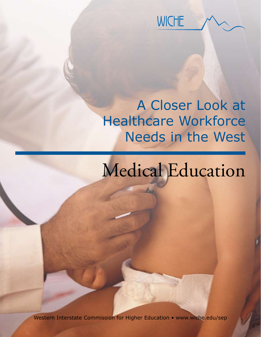

# A Closer Look at Healthcare Workforce Needs in the West

# Medical Education

Western Interstate Commission for Higher Education • www.wiche.edu/sep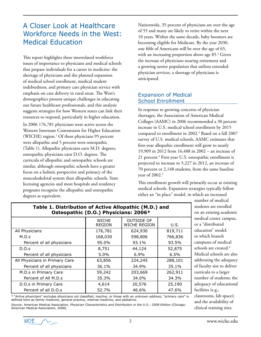# A Closer Look at Healthcare Workforce Needs in the West: Medical Education

This report highlights three interrelated workforce issues of importance to physicians and medical schools that prepare individuals for a career in medicine: the shortage of physicians and the planned expansion of medical school enrollment, medical student indebtedness, and primary care physician service with emphasis on care delivery in rural areas. The West's demographics present unique challenges in educating our future healthcare professionals, and this analysis suggests strategies for how Western states can link their resources to respond, particularly in higher education.

In 2006 176,781 physicians were active across the Western Interstate Commission for Higher Education (WICHE) region.<sup>1</sup> Of these physicians 95 percent were allopathic and 5 percent were osteopathic (Table 1). Allopathic physicians earn M.D. degrees; osteopathic physicians earn D.O. degrees. The curricula of allopathic and osteopathic schools are similar, although osteopathic schools have a greater focus on a holistic perspective and primacy of the musculoskeletal system than allopathic schools. State licensing agencies and most hospitals and residency programs recognize the allopathic and osteopathic degrees as equivalent.

Nationwide, 35 percent of physicians are over the age of 55 and many are likely to retire within the next 10 years. Within the same decade, baby boomers are becoming eligible for Medicare. By the year 2030, one fifth of Americans will be over the age of 65, with an increasing proportion above age 85.<sup>2</sup> Given the increase of physicians nearing retirement and a growing senior population that utilizes extended physician services, a shortage of physicians is anticipated.

# Expansion of Medical School Enrollment

In response to growing concerns of physician shortages, the Association of American Medical Colleges (AAMC) in 2006 recommended a 30 percent increase in U.S. medical school enrollment by 2015 compared to enrollment in 2002.3 Based on a fall 2007 survey of U.S. medical schools, AAMC estimates that first-year allopathic enrollment will grow to nearly 19,909 in 2012 from 16,488 in 2002 – an increase of 21 percent.4 First-year U.S. osteopathic enrollment is projected to increase to 5,227 in 2012, an increase of 70 percent or 2,148 students, from the same baseline vear of 2002.<sup>5</sup>

This enrollment growth will primarily occur at existing medical schools. Expansion strategies typically follow either an "in place" model, in which an increased

| Osteopathic (D.O.) Physicians: 2006* |                               |                                          |         |  |  |  |
|--------------------------------------|-------------------------------|------------------------------------------|---------|--|--|--|
|                                      | <b>WICHE</b><br><b>REGION</b> | <b>OUTSIDE OF</b><br><b>WICHE REGION</b> | U.S.    |  |  |  |
| All Physicians                       | 176,781                       | 624,930                                  | 819,711 |  |  |  |
| M.D.s                                | 168,030                       | 598,806                                  | 766,836 |  |  |  |
| Percent of all physicians            | 95.0%                         | 93.1%                                    | 93.5%   |  |  |  |
| D.O.s                                | 8,751                         | 44,124                                   | 52,875  |  |  |  |
| Percent of all physicians            | $5.0\%$                       | $6.9\%$                                  | 6.5%    |  |  |  |
| All Physicians in Primary Care       | 63,856                        | 224,245                                  | 288,101 |  |  |  |
| Percent of all physicians            | 36.1%                         | 34.9%                                    | 35.1%   |  |  |  |
| M.D.s in Primary Care                | 59,242                        | 203,669                                  | 262,911 |  |  |  |
| Percent of All M.D.s                 | 35.3%                         | 34.0%                                    | 34.3%   |  |  |  |
| D.O.s in Primary Care                | 4,614                         | 20,576                                   | 25,190  |  |  |  |
| Percent of all D.O.s                 | 52.7%                         | 46.6%                                    | 47.6%   |  |  |  |

**Table 1. Distribution of Active Allopathic (M.D.) and** 

\* "Active physicians" excludes physicians not classified, inactive, or those with an unknown address; "primary care" is defined here as family medicine, general practice, internal medicine, and pediatrics.

*Source:* American Medical Association, *Physician Characteristics and Distribution in the U.S.: 2008 Edition* (Chicago: American Medical Association, 2008).

number of medical students are enrolled on an existing academic medical center campus, or a "distributed education" model, in which branch campuses of medical schools are created.<sup>6</sup> Medical schools are also addressing the adequacy of faculty size to deliver curricula to a larger number of students; the adequacy of educational facilities (e.g., classrooms, lab space); and the availability of clinical training sites.

**WICHE**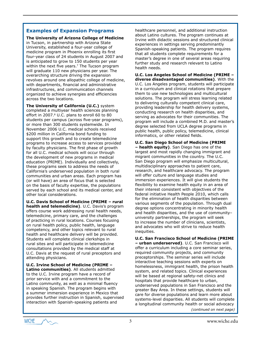### **Examples of Expansion Programs**

**The University of Arizona College of Medicine** in Tucson, in partnership with Arizona State University, established a four-year college of medicine program in Phoenix enrolling its first four-year class of 24 students in August 2007 and is anticipated to grow to 150 students per year within the next five years.<sup>7</sup> The Tucson program will graduate 110 new physicians per year. The overarching structure driving the expansion revolves around one allopathic college of medicine, with departments, financial and administrative infrastructures, and communication channels organized to achieve synergies and efficiencies across the two locations.

**The University of California (U.C.)** system completed a multiyear health sciences planning effort in 2007.<sup>8</sup> U.C. plans to enroll 60 to 80 students per campus (across five-year programs), or more than 300 students systemwide. In November 2006 U.C. medical schools received \$200 million in California bond funding to support this growth and to create telemedicine programs to increase access to services provided by faculty physicians. The first phase of growth for all U.C. medical schools will occur through the development of new programs in medical education (PRIME). Individually and collectively, these programs seek to address the needs of California's underserved population in both rural communities and urban areas. Each program has (or will have) an area of focus that is selected on the basis of faculty expertise, the populations served by each school and its medical center, and other local considerations.

**U.C. Davis School of Medicine (PRIME – rural health and telemedicine)**. U.C. Davis's program offers course work addressing rural health needs, telemedicine, primary care, and the challenges of practicing in rural locations. Courses focusing on rural health policy, public health, language competency, and other topics relevant to rural health and healthcare delivery will be provided. Students will complete clinical clerkships in rural sites and will participate in telemedicine consultations provided by the medical staff at U.C. Davis at the request of rural preceptors and attending physicians.

**U.C. Irvine School of Medicine (PRIME – Latino communities)**. All students admitted to the U.C. Irvine program have a record of prior service with and a commitment to the Latino community, as well as a minimal fluency in speaking Spanish. The program begins with a summer immersion experience in Mexico that provides further instruction in Spanish, supervised interaction with Spanish-speaking patients and

healthcare personnel, and additional instruction about Latino cultures. The program continues at Irvine with didactic sessions and structured clinical experiences in settings serving predominantly Spanish-speaking patients. The program requires that all students complete requirements for a master's degree in one of several areas requiring further study and research relevant to Latino health needs.

**U.C. Los Angeles School of Medicine (PRIME – diverse disadvantaged communities)**. With the U.C. Los Angeles program, students will participate in a curriculum and clinical rotations that prepare them to use new technologies and multicultural solutions. The program will stress learning related to delivering culturally competent clinical care, providing leadership for health delivery systems, conducting research on health disparities, and serving as advocates for their communities. The program will include a combined M.D. and master's degree selected from UCLA degree programs in public health, public policy, telemedicine, clinical informatics, or other related fields.

**U.C. San Diego School of Medicine (PRIME – health equity)**. San Diego has one of the largest and most rapidly changing immigrant and migrant communities in the country. The U.C. San Diego program will emphasize multicultural, multidisciplinary approaches to patient care, research, and healthcare advocacy. The program will offer culture and language studies and immersion experiences. It will give students the flexibility to examine health equity in an area of their interest consistent with objectives of the federal initiative Health People 2010, which calls for the elimination of health disparities between various segments of the population. Through dual degree options concentrating in minority health and health disparities, and the use of community– university partnerships, the program will seek to increase the number of clinicians, scientists, and advocates who will strive to reduce health inequities.

**U.C. San Francisco School of Medicine (PRIME – urban underserved)**. U.C. San Francisco will offer a curriculum including a core seminar series, required community projects, and community preceptorships. The seminar series will include interactive teaching sessions with experts on homelessness, immigrant health, the prison health system, and related topics. Clinical experiences will be based at regional safety-net clinics and hospitals that provide healthcare to urban, underserved populations in San Francisco and the greater Bay Area. In these settings, students will care for diverse populations and learn more about systems-level disparities. All students will complete a longitudinal community health or social advocacy

*(continued on next page)*

**WICHE**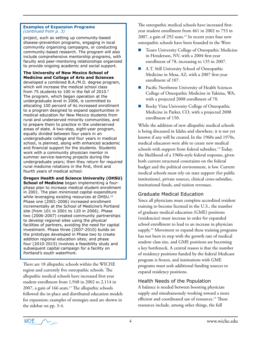#### **Examples of Expansion Programs**  *(continued from p. 3)*

project, such as setting up community-based disease-prevention programs, engaging in local community organizing campaigns, or conducting community-based research. The program will also include comprehensive mentorship programs, with faculty and peer-mentoring relationships organized to provide ongoing academic and social support.

**The University of New Mexico School of Medicine and College of Arts and Sciences** developed a combined B.A./M.D. degree program, which will increase the medical school class from 75 students to 100 in the fall of 2010.9 The program, which began operation at the undergraduate level in 2006, is committed to allocating 100 percent of its increased enrollment to a program designed to expand opportunities in medical education for New Mexico students from rural and underserved minority communities, and to prepare them to practice in the underserved areas of state. A two-step, eight-year program, equally divided between four years in an undergraduate college and four years in medical school, is planned, along with enhanced academic and financial support for the students. Students work with a community physician mentor in summer service-learning projects during the undergraduate years; then they return for required rural medicine rotations in the first, third and fourth years of medical school.

**Oregon Health and Science University (OHSU) School of Medicine** began implementing a fourphase plan to increase medical student enrollment in 2001. The plan minimized capital expenditure while leveraging existing resources at OHSU.10 Phase one (2001-2006) increased enrollment incrementally at the School of Medicine's Portland site (from 101 in 2001 to 120 in 2006). Phase two (2006-2007) created community partnerships to develop regional sites using the physical facilities of partners, avoiding the need for capital investment. Phase three (2007-2010) builds on the prototype developed in Phase two to create addition regional education sites; and phase four (2010-2015) involves a feasibility study and subsequent capital campaign for a facility on Portland's south waterfront.

There are 18 allopathic schools within the WICHE region and currently five osteopathic schools. The allopathic medical schools have increased first-year student enrollment from 1,948 in 2002 to 2,114 in 2007, a gain of  $166$  seats.<sup>11</sup> The allopathic schools followed the in-place and distributed education models for expansion; examples of strategies used are shown in the sidebar on pp. 3-4.

The osteopathic medical schools have increased firstyear student enrollment from 461 in 2002 to 753 in 2007, a gain of 292 seats.<sup>12</sup> In recent years four new osteopathic schools have been founded in the West:

- Touro University College of Osteopathic Medicine in Henderson, NV, with a 2004 first-year enrollment of 78, increasing to 135 in 2007.
- A.T. Still University School of Osteopathic Medicine in Mesa, AZ, with a 2007 first-year enrollment of 107.
- Pacific Northwest University of Health Sciences College of Osteopathic Medicine in Yakima, WA, with a projected 2008 enrollment of 70.
- Rocky Vista University College of Osteopathic Medicine in Parker, CO, with a projected 2008 enrollment of 150.

While the addition of new allopathic medical schools is being discussed in Idaho and elsewhere, it is not yet known if any will be created.In the 1960s and 1970s, medical educators were able to create new medical schools with support from federal subsidies.<sup>13</sup> Today, the likelihood of a 1960s-style federal response, given both current structural constraints on the federal budget and the political environment, is low. Current medical schools must rely on state support (for public institutions), private sources, clinical cross-subsidies, institutional funds, and tuition revenues.

# Graduate Medical Education

Since all physicians must complete accredited resident training to become licensed in the U.S., the number of graduate medical education (GME) positions (residencies) must increase in order for expanded school enrollment to lead to an increase in physician supply.<sup>14</sup> Movement to expand these training programs has not been in step with the growth rate of medical student class size, and GME positions are becoming a key bottleneck. A central reason is that the number of residency positions funded by the federal Medicare program is frozen, and institutions with GME programs must seek additional funding sources to expand residency positions.

# Health Needs of the Population

A balance is needed between boosting physician supply and simultaneously working toward a more efficient and coordinated use of resources.<sup>15</sup> These resources include, among other things, the full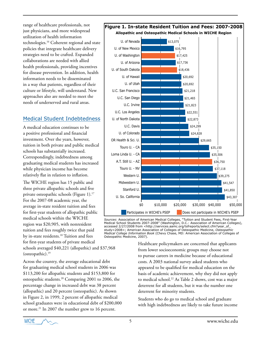range of healthcare professionals, not just physicians, and more widespread utilization of health information technologies.16 Coherent regional and state policies that integrate healthcare delivery strategies need to be crafted. Expanded collaborations are needed with allied health professionals, providing incentives for disease prevention. In addition, health information needs to be disseminated in a way that patients, regardless of their culture or lifestyle, will understand. New approaches also are needed to meet the needs of underserved and rural areas.

# Medical Student Indebtedness

A medical education continues to be a positive professional and financial investment. Over the years, however, tuition in both private and public medical schools has substantially increased. Correspondingly, indebtedness among graduating medical students has increased while physician income has become relatively flat in relation to inflation.

The WICHE region has 15 public and three private allopathic schools and five private osteopathic schools (Figure 1).17 For the 2007-08 academic year, the average in-state resident tuition and fees for first-year students of allopathic public medical schools within the WICHE region was \$20,905, with nonresident tuition and fees roughly twice that paid by in-state residents.<sup>18</sup> Tuition and fees for first-year students of private medical

schools averaged \$40,221 (allopathic) and \$37,968 (osteopathic).19

Across the country, the average educational debt for graduating medical school students in 2006 was \$113,200 for allopathic students and \$153,800 for osteopathic students.20 Comparing 2001 to 2006, the percentage change in increased debt was 38 percent (allopathic) and 20 percent (osteopathic). As shown in Figure 2, in 1999, 2 percent of allopathic medical school graduates were in educational debt of \$200,000 or more.<sup>21</sup> In 2007 the number grew to 16 percent.



*Sources*: Association of American Medical Colleges, "Tuition and Student Fees, First-Year Medical School Students 2007-2008" (Washington, D.C.: Association of American Colleges), accessed 2/27/2008 from <http://services.aamc.org/tsfreports/select.cfm?year\_of\_ study=2008>; American Association of Colleges of Osteopathic Medicine, *Osteopathic Medical College Information Book* (Chevy Chase, MD: American Association of Colleges of Osteopathic Medicine, 2007).

Healthcare policymakers are concerned that applicants from lower socioeconomic groups may choose not to pursue careers in medicine because of educational costs. A 2003 national survey asked students who appeared to be qualified for medical education on the basis of academic achievement, why they did not apply to medical school.<sup>22</sup> As Table 2 shows, cost was a major deterrent for all students, but it was the number one deterrent for minority students.

Students who do go to medical school and graduate with high indebtedness are likely to take future income

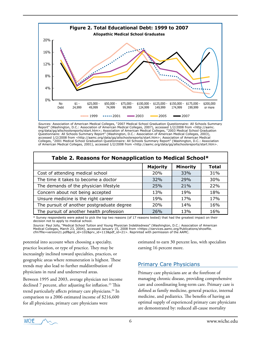

*Sources:* Association of American Medical Colleges, "2007 Medical School Graduation Questionnaire: All Schools Summary Report" (Washington, D.C.: Association of American Medical Colleges, 2007), accessed 1/2/2008 from <http://aamc. org/data/gq/allschoolsreports/start.htm>; Association of American Medical Colleges, "2003 Medical School Graduation Questionnaire: All Schools Summary Report" (Washington, D.C.: Association of American Medical Colleges, 2003), accessed 1/2/2008 from <http://aamc.org/data/gq/allschoolsreports/start.htm>; Association of American Medical Colleges, "2001 Medical School Graduation Questionnaire: All Schools Summary Report" (Washington, D.C.: Association of American Medical Colleges, 2001), accessed 1/2/2008 from <http://aamc.org/data/gq/allschoolsreports/start.htm>.

| Table 2. Reasons for Nonapplication to Medical School* |                 |                 |              |  |  |  |
|--------------------------------------------------------|-----------------|-----------------|--------------|--|--|--|
|                                                        | <b>Majority</b> | <b>Minority</b> | <b>Total</b> |  |  |  |
| Cost of attending medical school                       | 20%             | 33%             | 31%          |  |  |  |
| The time it takes to become a doctor                   | 32%             | 29%             | 30%          |  |  |  |
| The demands of the physician lifestyle                 | 25%             | 21%             | 22%          |  |  |  |
| Concern about not being accepted                       | 13%             | 19 <sub>%</sub> | 18%          |  |  |  |
| Unsure medicine is the right career                    | 19%             | 17%             | 17%          |  |  |  |
| The pursuit of another postgraduate degree             | <b>20%</b>      | 14%             | 16%          |  |  |  |
| The pursuit of another health profession               | 26%             | 13%             | 16%          |  |  |  |

#### \* Survey respondents were asked to pick the top two reasons (of 17 reasons tested) that had the greatest impact on their decision not to apply to medical school.

*Source:* Paul Jolly, "Medical School Tuition and Young Physician Indebtedness" (Washington, D.C.: Association of American Medical Colleges, March 23, 2004), accessed January 15, 2008 from <https://services.aamc.org/Publications/showfile. cfm?file=version21.pdf&prd\_id=102&prv\_id=113&pdf\_id=21>. Reprinted with permission of the AAMC.

potential into account when choosing a specialty, practice location, or type of practice. They may be increasingly inclined toward specialties, practices, or geographic areas where remuneration is highest. These trends may also lead to further maldistribution of physicians in rural and underserved areas.

Between 1995 and 2003, average physician net income declined 7 percent, after adjusting for inflation.<sup>23</sup> This trend particularly affects primary care physicians.<sup>24</sup> In comparison to a 2006 estimated income of \$216,600 for all physicians, primary care physicians were

estimated to earn 30 percent less, with specialists earning 16 percent more.

# Primary Care Physicians

Primary care physicians are at the forefront of managing chronic disease, providing comprehensive care and coordinating long-term care. Primary care is defined as family medicine, general practice, internal medicine, and pediatrics. The benefits of having an optimal supply of experienced primary care physicians are demonstrated by: reduced all-cause mortality

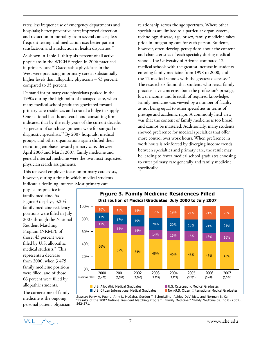rates; less frequent use of emergency departments and hospitals; better preventive care; improved detection and reduction in mortality from several cancers; less frequent testing and medication use; better patient satisfaction, and a reduction in health disparities.<sup>25</sup>

As shown in Table 1, thirty-six percent of all active physicians in the WICHE region in 2006 practiced in primary care.<sup>26</sup> Osteopathic physicians in the West were practicing in primary care at substantially higher levels than allopathic physicians – 53 percent, compared to 35 percent.

Demand for primary care physicians peaked in the 1990s during the high point of managed care, when many medical school graduates gravitated toward primary care residences and created a bulge in supply. One national healthcare search and consulting firm indicated that by the early years of the current decade, 75 percent of search assignments were for surgical or diagnostic specialists.27 By 2007 hospitals, medical groups, and other organizations again shifted their recruiting emphasis toward primary care. Between April 2006 and March 2007, family medicine and general internal medicine were the two most requested physician search assignments.

This renewed employer focus on primary care exists, however, during a time in which medical students indicate a declining interest. Most primary care

relationship across the age spectrum. Where other specialties are limited to a particular organ system, technology, disease, age, or sex, family medicine takes pride in integrating care for each person. Students, however, often develop perceptions about the content and characteristics of each specialty during medical school. The University of Arizona compared 12 medical schools with the greatest increase in students entering family medicine from 1998 to 2000, and the 12 medical schools with the greatest decrease.<sup>29</sup> The researchers found that students who reject family practice have concerns about the profession's prestige, lower income, and breadth of required knowledge. Family medicine was viewed by a number of faculty as not being equal to other specialties in terms of prestige and academic rigor. A commonly held view was that the content of family medicine is too broad and cannot be mastered. Additionally, many students showed preference for medical specialties that offer more control over work hours. When preference in work hours is reinforced by diverging income trends between specialties and primary care, the result may be leading to fewer medical school graduates choosing to enter primary care generally and family medicine specifically.

physicians practice in family medicine. As Figure 3 displays, 3,204 family medicine residency positions were filled in July 2007 through the National Resident Matching Program (NRMP); of those, 43 percent were filled by U.S. allopathic medical students.28 This represents a decrease from 2000, when 3,475 family medicine positions were filled, and of those 66 percent were filled by allopathic students.

The cornerstone of family medicine is the ongoing, personal patient-physician



*Source*: Perry A. Pugno, Amy L. McGaha, Gordon T. Schmittling, Ashley DeVilbiss, and Norman B. Kahn, "Results of the 2007 National Resident Matching Program: Family Medicine." *Family Medicine* 39, no.8 (2007), 562-571.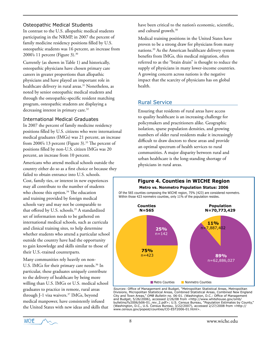# Osteopathic Medical Students

In contrast to the U.S. allopathic medical students participating in the NRMP, in 2007 the percent of family medicine residency positions filled by U.S. osteopathic students was 16 percent, an increase from 2000's 11 percent (Figure 3).30

Currently (as shown in Table 1) and historically, osteopathic physicians have chosen primary care careers in greater proportions than allopathic physicians and have played an important role in healthcare delivery in rural areas.<sup>31</sup> Nonetheless, as noted by senior osteopathic medical students and through the osteopathic-specific resident matching program, osteopathic students are displaying a decreasing interest in primary care.<sup>32</sup>

#### International Medical Graduates

In 2007 the percent of family medicine residency positions filled by U.S. citizens who were international medical graduates (IMGs) was 21 percent, an increase from 2000's 13 percent (Figure 3).<sup>33</sup> The percent of positions filled by non-U.S. citizen IMGs was 20 percent, an increase from 10 percent.

Americans who attend medical schools outside the country either do so as a first choice or because they failed to obtain entrance into U.S. schools. Cost, family ties, or interest in new experiences may all contribute to the number of students who choose this option.<sup>34</sup> The education and training provided by foreign medical schools vary and may not be comparable to that offered by U.S. schools.<sup>35</sup> A standardized set of information needs to be gathered on international medical schools, such as curricula and clinical training sites, to help determine whether students who attend a particular school outside the country have had the opportunity to gain knowledge and skills similar to those of their U.S.-trained counterparts.

Many communities rely heavily on non-U.S. IMGs for their primary care needs.<sup>36</sup> In particular, these graduates uniquely contribute to the delivery of healthcare by being more willing than U.S. IMGs or U.S. medical school graduates to practice in remote, rural areas through J-1 visa waivers.<sup>37</sup> IMGs, beyond medical manpower, have consistently infused the United States with new ideas and skills that

have been critical to the nation's economic, scientific, and cultural growth.38

Medical training positions in the United States have proven to be a strong draw for physicians from many nations.39 As the American healthcare delivery system benefits from IMGs, this medical migration, often referred to as the "brain drain" is thought to reduce the supply of physicians in many lower-income countries. A growing concern across nations is the negative impact that the scarcity of physicians has on global health.

# Rural Service

Ensuring that residents of rural areas have access to quality healthcare is an increasing challenge for policymakers and practitioners alike. Geographic isolation, sparse population densities, and growing numbers of older rural residents make it increasingly difficult to draw doctors to these areas and provide an optimal spectrum of health services to rural communities. A major disparity between rural and urban healthcare is the long-standing shortage of physicians in rural areas.



*Sources*: Office of Management and Budget, "Metropolitan Statistical Areas, Metropolitan Divisions, Micropolitan Statistical Areas, Combined Statistical Areas, Combined New England City and Town Areas," *OMB Bulletin* no. 06-01. (Washington, D.C.: Office of Management and Budget, 5/26/2006), accessed 2/26/08 from <http://www.whitehouse.gov/omb/ bulletins/fy2006/b06-01\_rev\_2.pdf>; U.S. Census Bureau, "Population Estimates by County," (Washington, D.C., U.S. Census Bureau, 3/22/2007), accessed 2/27/2008 from <http:// www.census.gov/popest/counties/CO-EST2006-01.html>.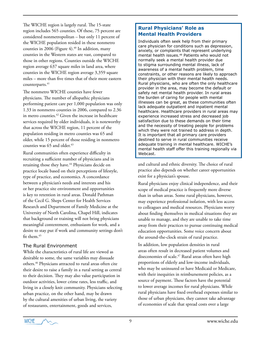The WICHE region is largely rural. The 15-state region includes 565 counties. Of these, 75 percent are considered nonmetropolitan – but only 11 percent of the WICHE population resided in these nonmetro counties in 2006 (Figure  $4$ ).<sup>40</sup> In addition, many counties in the Western states are vast, compared to those in other regions. Counties outside the WICHE region average 637 square miles in land area, where counties in the WICHE region average 3,359 square miles – more than five times that of their more eastern counterparts.<sup>41</sup>

The nonmetro WICHE counties have fewer physicians. The number of allopathic physicians performing patient care per 1,000 population was only 1.33 in nonmetro counties in 2006, compared to 2.36 in metro counties.42 Given the increase in healthcare services required by older individuals, it is noteworthy that across the WICHE region, 11 percent of the population residing in metro counties was 65 and older, while 15 percent of those residing in nonmetro counties was 65 and older.<sup>43</sup>

Rural communities often experience difficulty in recruiting a sufficient number of physicians and in retaining those they have.<sup>44</sup> Physicians decide on practice locale based on their perceptions of lifestyle, type of practice, and economics. A concordance between a physician's needs and interests and his or her practice site environment and opportunities is key to retention in rural areas. Donald Pathman of the Cecil G. Sheps Center for Health Services Research and Department of Family Medicine at the University of North Carolina, Chapel Hill, indicates that background or training will not bring physicians meaningful contentment, enthusiasm for work, and a desire to stay put if work and community settings don't fit them.<sup>45</sup>

#### The Rural Environment

While the characteristics of rural life are viewed as desirable to some, the same variables may dissuade others.46 Physicians attracted to rural areas often cite their desire to raise a family in a rural setting as central to their decision. They may also value participation in outdoor activities, lower crime rates, less traffic, and living in a closely knit community. Physicians selecting urban practice, on the other hand, may be drawn by the cultural amenities of urban living, the variety of restaurants, entertainment, goods and services,

# **Rural Physicians' Role as Mental Health Providers**

Individuals often seek help from their primary care physician for conditions such as depression, anxiety, or complaints that represent underlying mental health issues.<sup>48</sup> Patients who would not normally seek a mental health provider due to stigma surrounding mental illness, lack of awareness of a mental health problem, time constraints, or other reasons are likely to approach their physician with their mental health needs. Rural physicians, who are often the only healthcare provider in the area, may become the default or safety net mental health provider. In rural areas the burden of caring for people with mental illnesses can be great, as these communities often lack adequate outpatient and inpatient mental healthcare. Healthcare providers in rural areas may experience increased stress and decreased job satisfaction due to these demands on their time and the necessity of treating people for problems which they were not trained to address in depth. It is important that all primary care providers destined to serve in rural communities receive adequate training in mental healthcare. WICHE's mental health staff offer this training regionally via Webcast.

and cultural and ethnic diversity. The choice of rural practice also depends on whether career opportunities exist for a physician's spouse.

Rural physicians enjoy clinical independence, and their scope of medical practice is frequently more diverse than in urban areas. Some rural physicians, however, may experience professional isolation, with less access to colleagues and medical resources. Physicians worry about finding themselves in medical situations they are unable to manage, and they are unable to take time away from their practices to pursue continuing medical education opportunities. Some voice concern about the around-the-clock strain of rural practice.

In addition, low population densities in rural areas often result in decreased patient volumes and diseconomies of scale.<sup>47</sup> Rural areas often have high proportions of elderly and low-income individuals, who may be uninsured or have Medicaid or Medicare, with their inequities in reimbursement policies, as a source of payment. These factors have the potential to lower average incomes for rural physicians. While rural physicians have fixed overhead expenses similar to those of urban physicians, they cannot take advantage of economies of scale that spread costs over a large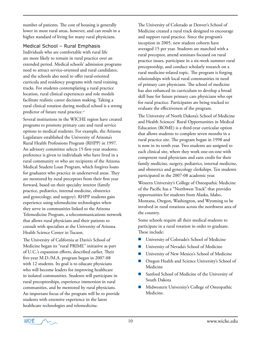number of patients. The cost of housing is generally lower in most rural areas, however, and can result in a higher standard of living for many rural physicians.

# Medical School – Rural Emphasis

Individuals who are comfortable with rural life are more likely to remain in rural practice over an extended period. Medical schools' admission programs need to attract service-oriented and rural candidates, and the schools also need to offer rural-oriented curricula and residency programs with rural training tracks. For students contemplating a rural practice location, rural clinical experiences and role models facilitate realistic career decision making. Taking a rural clinical rotation during medical school is a strong predictor of future rural practice.<sup>49</sup>

Several institutions in the WICHE region have created programs to promote primary care and rural service options to medical students. For example, the Arizona Legislature established the University of Arizona's Rural Health Professions Program (RHPP) in 1997. An advisory committee selects 15 first-year students; preference is given to individuals who have lived in a rural community or who are recipients of the Arizona Medical Student Loan Program, which forgives loans for graduates who practice in underserved areas. They are mentored by rural preceptors from their first year forward, based on their specialty interest (family practice, pediatrics, internal medicine, obstetrics and gynecology, and surgery). RHPP students gain experience using telemedicine technologies when they serve in communities linked to the Arizona Telemedicine Program, a telecommunications network that allows rural physicians and their patients to consult with specialists at the University of Arizona Health Science Center in Tucson.

The University of California at Davis's School of Medicine began its "rural PRIME" initiative as part of U.C.'s expansion efforts, described earlier. Their five-year M.D./M.A. program began in 2007-08 with 12 students. Its goal is to educate physicians who will become leaders for improving healthcare in isolated communities. Students will participate in rural preceptorships, experience immersion in rural communities, and be mentored by rural physicians. An important focus of the program will be to provide students with extensive experience in the latest healthcare technologies and telemedicine.

The University of Colorado at Denver's School of Medicine created a rural track designed to encourage and support rural practice. Since the program's inception in 2005, new student cohorts have averaged 15 per year. Students are matched with a rural preceptor, attend seminars focused on rural practice issues, participate in a six-week summer rural preceptorship, and conduct scholarly research on a rural medicine-related topic. The program is forging relationships with local rural communities in need of primary care physicians. The school of medicine has also enhanced its curriculum to develop a broad skill base for future primary care physicians who opt for rural practice. Participants are being tracked to evaluate the effectiveness of the program.

The University of North Dakota's School of Medicine and Health Sciences' Rural Opportunities in Medical Education (ROME) is a third-year curricular option that allows students to complete seven months in a rural practice site. The program began in 1998 and is now in its tenth year. Two students are assigned to each clinical site, where they work one-on-one with competent rural physicians and earn credit for their family medicine, surgery, pediatrics, internal medicine, and obstetrics and gynecology clerkships. Ten students participated in the 2007-08 academic year.

Western University's College of Osteopathic Medicine of the Pacific has a "Northwest Track" that provides opportunities for students from Alaska, Idaho, Montana, Oregon, Washington, and Wyoming to be involved in rural rotations across the northwest area of the country.

Some schools require all their medical students to participate in a rural rotation in order to graduate. These include:

- University of Colorado's School of Medicine
- University of Nevada's School of Medicine
- University of New Mexico's School of Medicine
- Oregon Health and Science University's School of Medicine
- Sanford School of Medicine of the University of South Dakota
- Midwestern University's College of Osteopathic Medicine.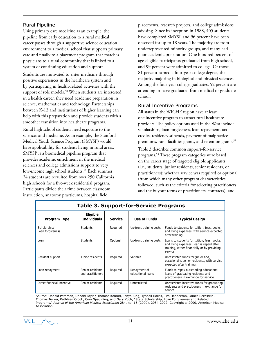# Rural Pipeline

Using primary care medicine as an example, the pipeline from early education to a rural medical career passes through a supportive science education environment to a medical school that supports primary care and finally to a placement program that matches physicians to a rural community that is linked to a system of continuing education and support.

Students are motivated to enter medicine through positive experiences in the healthcare system and by participating in health-related activities with the support of role models.<sup>50</sup> When students are interested in a health career, they need academic preparation in science, mathematics and technology. Partnerships between K-12 and institutions of higher learning can help with this preparation and provide students with a smoother transition into healthcare programs.

Rural high school students need exposure to the sciences and medicine. As an example, the Stanford Medical Youth Science Program (SMYSP) would have applicability for students living in rural areas. SMYSP is a biomedical pipeline program that provides academic enrichment in the medical sciences and college admissions support to very low-income high school students.<sup>51</sup> Each summer 24 students are recruited from over 250 California high schools for a five-week residential program. Participants divide their time between classroom instruction, anatomy practicums, hospital field

placements, research projects, and college admissions advising. Since its inception in 1988, 405 students have completed SMYSP and 96 percent have been observed for up to 18 years. The majority are from underrepresented minority groups, and many had poor academic preparation. One hundred percent of age-eligible participants graduated from high school, and 99 percent were admitted to college. Of those, 81 percent earned a four-year college degree, the majority majoring in biological and physical sciences. Among the four-year college graduates, 52 percent are attending or have graduated from medical or graduate school.

#### Rural Incentive Programs

All states in the WICHE region have at least one incentive program to attract rural healthcare providers. The policy options used in the West include scholarships, loan forgiveness, loan repayment, tax credits, residency stipends, payment of malpractice premiums, rural facilities grants, and retention grants.<sup>52</sup>

Table 3 describes common support-for-service programs.53 These program categories were based on the career stage of targeted eligible applicants (i.e., students, junior residents, senior residents, or practitioners); whether service was required or optional (from which many other program characteristics followed, such as the criteria for selecting practitioners and the buyout terms of practitioners' contracts); and

| <b>Table 3. Support-for-Service Programs</b> |                                       |                |                                   |                                                                                                                                                      |  |  |
|----------------------------------------------|---------------------------------------|----------------|-----------------------------------|------------------------------------------------------------------------------------------------------------------------------------------------------|--|--|
| <b>Program Type</b>                          | Eligible<br><b>Individuals</b>        | <b>Service</b> | <b>Use of Funds</b>               | <b>Typical Design</b>                                                                                                                                |  |  |
| Scholarship/<br>Loan forgiveness             | Students                              | Required       | Up-front training costs           | Funds to students for tuition, fees, books,<br>and living expenses, with service expected<br>after training.                                         |  |  |
| Loan                                         | <b>Students</b>                       | Optional       | Up-front training costs           | Loans to students for tuition, fees, books,<br>and living expenses; loan is repaid after<br>training, either financially or by providing<br>service. |  |  |
| Resident support                             | Junior residents                      | Required       | Variable                          | Unrestricted funds for junior and,<br>occasionally, senior residents, with service<br>expected after training.                                       |  |  |
| Loan repayment                               | Senior residents<br>and practitioners | Reguired       | Repayment of<br>educational loans | Funds to repay outstanding educational<br>loans of graduating residents and<br>practitioners in exchange for service.                                |  |  |
| Direct financial incentive                   | Senior residents                      | Required       | Unrestricted                      | Unrestricted incentive funds for graduating<br>residents and practitioners in exchange for<br>service.                                               |  |  |

*Source*: Donald Pathman, Donald Taylor, Thomas Konrad, Tonya King, Tyndall Harris, Tim Henderson, James Bernstein, Thomas Tucker, Kathleen Crook, Cora Spaulding, and Gary Koch, "State Scholarship, Loan Forgiveness and Related Programs," *Journal of the American Medical Association* 284, no. 16 (2000), 2084-2092. Copyright © 2000, American Medical Association.

**WICHE** 

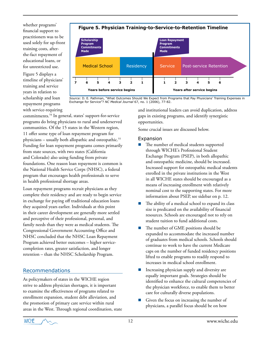whether programs' financial support to practitioners was to be used solely for up-front training costs, afterthe-fact repayment of educational loans, or for unrestricted use.

Figure 5 displays a timeline of physicians' training and service years in relation to scholarship and loan repayment programs with service-requiring

#### **Figure 5. Physician Training-to-Service-to-Retention Timeline** Medical School **Residency Service Post-service Retention Scholarship Program Commitments Made Loan Repayment Program Commitments Made 7 6 5 4 3 2 1 1 2 3 4 5 6**

*Source:* D. E. Pathman, "What Outcomes Should We Expect from Programs that Pay Physicians' Training Expenses in Exchange for Service"? *NC Medical Journal* 67, no. 1 (2006), 77-82.

**Years before service begins Years after service begins**

commitments.54 In general, states' support-for-service programs do bring physicians to rural and underserved communities. Of the 15 states in the Western region, 11 offer some type of loan repayment program for physicians – usually both allopathic and osteopathic.55 Funding for loan repayment programs comes primarily from state sources, with two states (California and Colorado) also using funding from private foundations. One reason loan repayment is common is the National Health Service Corps (NHSC), a federal program that encourages health professionals to serve in health professional shortage areas.

Loan repayment programs recruit physicians as they complete their residency and are ready to begin service in exchange for paying off traditional education loans they acquired years earlier. Individuals at this point in their career development are generally more settled and perceptive of their professional, personal, and family needs than they were as medical students. The Congressional Government Accounting Office and NHSC concluded that the NHSC Loan Repayment Program achieved better outcomes – higher servicecompletion rates, greater satisfaction, and longer retention – than the NHSC Scholarship Program.

# Recommendations

As policymakers of states in the WICHE region strive to address physician shortages, it is important to examine the effectiveness of programs related to enrollment expansion, student debt alleviation, and the promotion of primary care service within rural areas in the West. Through regional coordination, state

and institutional leaders can avoid duplication, address gaps in existing programs, and identify synergistic opportunities.

Some crucial issues are discussed below.

#### Expansion

- The number of medical students supported through WICHE's Professional Student Exchange Program (PSEP), in both allopathic and osteopathic medicine, should be increased. Increased support for osteopathic medical students enrolled in the private institutions in the West in all WICHE states should be encouraged as a means of increasing enrollment with relatively nominal cost to the supporting states. For more information about PSEP, see sidebar on p. 12.
- The ability of a medical school to expand its class size is predicated on the availability of financial resources. Schools are encouraged not to rely on student tuition to fund additional costs.
- The number of GME positions should be expanded to accommodate the increased number of graduates from medical schools. Schools should continue to work to have the current Medicare caps on the number of funded residency positions lifted to enable programs to readily respond to increases in medical school enrollment.
- Increasing physician supply and diversity are equally important goals. Strategies should be identified to enhance the cultural competencies of the physician workforce, to enable them to better care for culturally diverse populations.
- Given the focus on increasing the number of physicians, a parallel focus should be on how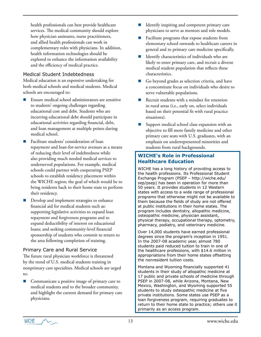health professionals can best provide healthcare services. The medical community should explore how physician assistants, nurse practitioners, and allied health professionals can work in complementary roles with physicians. In addition, health information technologies should be explored to enhance the information availability and the efficiency of medical practice.

#### Medical Student Indebtedness

Medical education is an expensive undertaking for both medical schools and medical students. Medical schools are encouraged to:

- Ensure medical school administrators are sensitive to students' ongoing challenges regarding educational cost and debt. Students who are incurring educational debt should participate in educational activities regarding financial, debt, and loan management at multiple points during medical school.
- Facilitate students' consideration of loan repayment and loan-for-service avenues as a means of reducing their level of indebtedness while also providing much needed medical services to underserved populations. For example, medical schools could partner with cooperating PSEP schools to establish residency placement within the WICHE region; the goal of which would be to bring residents back to their home state to perform their residency.
- Develop and implement strategies to enhance financial aid for medical students such as: supporting legislative activities to expand loan repayment and forgiveness programs and to expand deductibility of interest on educational loans; and seeking community-level financial sponsorship of students who commit to return to the area following completion of training.

#### Primary Care and Rural Service

The future rural physician workforce is threatened by the trend of U.S. medical students training in nonprimary care specialties. Medical schools are urged to:

■ Communicate a positive image of primary care to medical students and to the broader community, and highlight the current demand for primary care physicians.

- Identify inspiring and competent primary care physicians to serve as mentors and role models.
- Facilitate programs that expose students from elementary school onwards to healthcare careers in general and to primary care medicine specifically.
- $\blacksquare$  Identify characteristics of individuals who are likely to enter primary care, and recruit a diverse medical student population that reflects these characteristics.
- Go beyond grades as selection criteria, and have a concomitant focus on individuals who desire to serve vulnerable populations.
- Recruit students with a mindset for retention in rural areas (i.e., early on, select individuals based on their potential fit with rural practice situations).
- Support medical school class expansion with an objective to fill more family medicine and other primary care seats with U.S. graduates, with an emphasis on underrepresented minorities and students from rural backgrounds.

# **WICHE's Role in Professional Healthcare Education**

WICHE has a long history of providing access to the health professions. Its Professional Student Exchange Program (PSEP – http://wiche.edu/ sep/psep) has been in operation for more than 50 years. It provides students in 12 Western states with access to a wide range of professional programs that otherwise might not be available to them because the fields of study are not offered at public institutions in their home states. The program includes dentistry, allopathic medicine, osteopathic medicine, physician assistant, physical therapy, occupational therapy, optometry, pharmacy, podiatry, and veterinary medicine.

Over 14,000 students have earned professional degrees since the program's inception in 1951. In the 2007-08 academic year, almost 780 students paid reduced tuition to train in one of the healthcare professions, with \$14.6 million in appropriations from their home states offsetting the nonresident tuition costs.

Montana and Wyoming financially supported 41 students in their study of allopathic medicine at 17 public and private schools of medicine through PSEP in 2007-08, while Arizona, Montana, New Mexico, Washington, and Wyoming supported 55 students to study osteopathic medicine at five private institutions. Some states use PSEP as a loan forgiveness program, requiring graduates to return to their home state to practice; others use it primarily as an access program.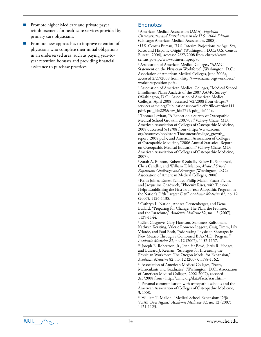- Promote higher Medicare and private payer reimbursement for healthcare services provided by primary care physicians.
- Promote new approaches to improve retention of physicians who complete their initial obligations in an underserved area, such as paying year-toyear retention bonuses and providing financial assistance to purchase practices.

#### Endnotes

1 American Medical Association (AMA), *Physician Characteristics and Distribution in the U.S., 2008 Edition* (Chicago: American Medical Association, 2008).

2 U.S. Census Bureau, "U.S. Interim Projections by Age, Sex, Race, and Hispanic Origin" (Washington, D.C.: U.S. Census Bureau, 2004), accessed 2/27/2008 from <http://www. census.gov/ipc/www/usinterimproj/>.

<sup>3</sup> Association of American Medical Colleges, "AAMC Statement on the Physician Workforce" (Washington, D.C.: Association of American Medical Colleges, June 2006), accessed 2/27/2008 from <http://www.aamc.org/workforce/ workforceposition.pdf>.

4 Association of American Medical Colleges, "Medical School Enrollment Plans: Analysis of the 2007 AAMC Survey" (Washington, D.C.: Association of American Medical Colleges, April 2008), accessed 5/2/2008 from <https:// services.aamc.org/Publications/showfile.cfm?file=version111. pdf&prd\_id=229&prv\_id=279&pdf\_id=111>.

5 Thomas Levitan, "A Report on a Survey of Osteopathic Medical School Growth, 2007-08," (Chevy Chase, MD: American Association of Colleges of Osteopathic Medicine, 2008), accessed 5/12/08 from <http://www.aacom. org/resources/bookstore/Documents/college\_growth\_ report\_2008.pdf>, and American Association of Colleges of Osteopathic Medicine, "2006 Annual Statistical Report on Osteopathic Medical Education," (Chevy Chase, MD: American Association of Colleges of Osteopathic Medicine, 2007).

6 Sarah A. Bunton, Robert F. Sabalis, Rajeev K. Sabharwal, Chris Candler, and William T. Mallon, *Medical School Expansion: Challenges and Strategies* (Washington, D.C.: Association of American Medical Colleges, 2008).

7 Keith Joiner, Ernest Schloss, Philip Malan, Stuart Flynn, and Jacqueline Chadwick, "Phoenix Rises, with Tucson's Help: Establishing the First Four-Year Allopathic Program in the Nation's Fifth Largest City," *Academic Medicine* 82, no. 12 (2007), 1126-1138.

8 Cathryn L. Nation, Andrea Gerstenberger, and Dena Bullard, "Preparing for Change: The Plan, the Promise, and the Parachute," *Academic Medicine* 82, no. 12 (2007), 1139-1144.

9 Ellen Cosgrove, Gary Harrison, Summers Kalishman, Kathryn Kersting, Valerie Romero-Leggott, Craig Timm, Lily Velarde, and Paul Roth, "Addressing Physician Shortages in New Mexico Through a Combined B.A./M.D. Program," *Academic Medicine* 82, no.12 (2007), 1152-1157.

<sup>10</sup> Joseph E. Robertson, Jr., Jennifer Boyd, Jerris R. Hedges, and Edward J. Keenan, "Strategies for Increasing the Physician Workforce: The Oregon Model for Expansion," *Academic Medicine* 82, no. 12 (2007), 1158-1162.

<sup>11</sup> Association of American Medical Colleges, "Facts, Matriculants and Graduates" (Washington, D.C.: Association of American Medical Colleges, 2002-2007), accessed 3/3/2008 from <http://aamc.org/data/facts/start.htm>.

<sup>12</sup> Personal communication with osteopathic schools and the American Association of Colleges of Osteopathic Medicine, 3/2008.

13 William T. Mallon, "Medical School Expansion: Déjà Vu All Over Again," *Academic Medicine* 82, no. 12 (2007), 1121-1125.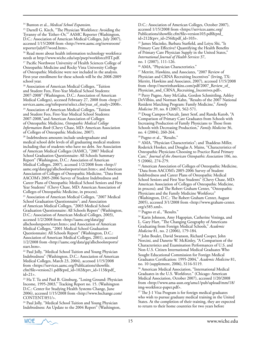<sup>15</sup> Darrell G. Kirch, "The Physician Workforce: Avoiding the Tyranny of the 'Either–Or,'" AAMC Reporter (Washington, D.C.: Association of American Medical Colleges, July 2007), accessed 1/15/2008 from <http://www.aamc.org/newsroom/ reporter/july07/word.htm>.

<sup>16</sup> Read more about health information technology workforce needs at http://www.wiche.edu/sep/psep/workforceHIT.pdf.

<sup>17</sup> Pacific Northwest University of Health Sciences College of Osteopathic Medicine and Rocky Vista University College of Osteopathic Medicine were not included in the analysis. First-year enrollment for these schools will be the 2008-2009 school year.

<sup>18</sup> Association of American Medical Colleges, "Tuition and Student Fees, First-Year Medical School Students: 2007-2008" (Washington, D.C.: Association of American Medical Colleges), accessed February 27, 2008 from <http:// services.aamc.org/tsfreports/select.cfm?year\_of\_study=2008>. <sup>19</sup> Association of American Medical Colleges, "Tuition and Student Fees, First-Year Medical School Students: 2007-2008,"and American Association of Colleges of Osteopathic Medicine, *Osteopathic Medical College Information Book* (Chevy Chase, MD: American Association of Colleges of Osteopathic Medicine, 2007). 20 Indebtedness amounts include undergraduate and medical school debt levels of all graduating medical students including that of students who have no debt. See Association of American Medical Colleges (AAMC), "2007 Medical School Graduation Questionnaire: All Schools Summary Report" (Washington, D.C.: Association of American Medical Colleges, 2007), accessed 1/2/2008 from <http:// aamc.org/data/gq/allschoolsreports/start.htm>; and American Association of Colleges of Osteopathic Medicine, "Data from AACOM's 2005-2006 Survey of Student Indebtedness and Career Plans of Osteopathic Medical School Seniors and First Year Students" (Chevy Chase, MD: American Association of Colleges of Osteopathic Medicine, in process). 21 Association of American Medical Colleges, "2007 Medical School Graduation Questionnaire"; and Association of American Medical Colleges, "2003 Medical School Graduation Questionnaire: All Schools Report" (Washington, D.C.: Association of American Medical Colleges, 2003), accessed 1/2/2008 from <http://aamc.org/data/gq/ allschoolsreports/start.htm>; and Association of American Medical Colleges, "2001 Medical School Graduation

Questionnaire: All Schools Report" (Washington, D.C.: Association of American Medical Colleges, 2001), accessed 1/2/2008 from <http://aamc.org/data/gq/allschoolsreports/ start.htm>.

22 Paul Jolly, "Medical School Tuition and Young Physician Indebtedness" (Washington, D.C.: Association of American Medical Colleges, March 23, 2004), accessed 1/15/2008 from <https://services.aamc.org/Publications/showfile. cfm?file=version21.pdf&prd\_id=102&prv\_id=113&pdf\_  $id=21$ .

23 Ha T. Tu and Paul B. Ginsburg, "Losing Ground: Physician Income, 1995-2003," Tracking Report no. 15. (Washington D.C.: Center for Studying Health Systems Change, June 2006), accessed 1/15/2008 from <http://www.hschange.com/ CONTENT/851/>.

24 Paul Jolly, "Medical School Tuition and Young Physician Indebtedness: An Update to the 2004 Report" (Washington, D.C.: Association of American Colleges, October 2007), accessed 1/15/2008 from <https://services.aamc.org/ Publications/showfile.cfm?file=version103.pdf&prd\_ id=212&prv\_id=256&pdf\_id=103>.

25 James Macinko, Barbara Starfield, and Leiyu Shi, "Is Primary Care Effective? Quantifying the Health Benefits of Primary Care Physician Supply in the United States," *International Journal of Health Services* 37, no. 1 (2007), 111-126.

<sup>26</sup> AMA, "Physician Characteristics."

27 Merritt, Hawkins, and Associates, "2007 Review of Physician and CRNA Recruiting Incentives" (Irving, TX: Merritt, Hawkins and Associates, 2007), accessed 1/15/2008 from <http://merritthawkins.com/pdf/2007\_Review\_of\_ Physician\_and\_CRNA\_Recruiting\_Incentives.pdf>. 28 Perry Pugno, Amy McGaha, Gordon Schmittling, Ashley DeVilbiss, and Norman Kahn, "Results of the 2007 National Resident Matching Program: Family Medicine," *Family Medicine* 39, no. 8 (2007), 562-571.

29 Doug Campos-Outcalt, Janet Senf, and Randa Kutob, "A Comparison of Primary Care Graduates from Schools with Increasing Production of Family Physicians to Those from Schools with Decreasing Production," *Family Medicine* 36, no. 4 (2004), 260-264.

30 Pugno et al., "Results."

31 AMA, "Physician Characteristics"; and Thaddeus Miller, Roderick Hooker, and Douglas A. Mains, "Characteristics of Osteopathic Physicians Choosing to Practice Rural Primary Care," *Journal of the American Osteopathic Association* 106, no. 5 (2006), 274-279.

<sup>32</sup> American Association of Colleges of Osteopathic Medicine, "Data from AACOM's 2005-2006 Survey of Student Indebtedness and Career Plans of Osteopathic Medical School Seniors and First Year Students" (Chevy Chase, MD: American Association of Colleges of Osteopathic Medicine, in process); and The Robert Graham Center, "Osteopathic Physicians and the Family Medicine Workforce" (Washington, D.C.: The Robert Graham Center, August 2005), accessed 3/1/2008 from <http://www.graham-center. org/x585.xml>.

33 Pugno et al., "Results."

<sup>34</sup> Karin Johnson, Amy Hagopian, Catherine Veninga, and L. Gary Hart, "The Changing Geography of Americans Graduating from Foreign Medical Schools," *Academic Medicine* 81, no. 2 (2006), 179-184.

35 John Boulet, David Swanson, Richard Cooper, John Norcini, and Danette W. McKinley, "A Comparison of the Characteristics and Examination Performances of U.S. and Non-U.S. Citizen International Medical Graduates Who

Sought Educational Commission for Foreign Medical Graduates Certification: 1995-2004," *Academic Medicine* 81, no. 10 (supplement, 2006), S116-S119.

36 American Medical Association, "International Medical Graduates in the U.S. Workforce." (Chicago: American Medical Association, October 2007), accessed 1/20/2008 from <http://www.ama-assn.org/ama1/pub/upload/mm/18/ img-workforce-paper.pdf>.

<sup>37</sup> The J-1 Visa Program is for foreign medical graduates who wish to pursue graduate medical training in the United States. At the completion of their training, they are expected to return to their home countries for two years before